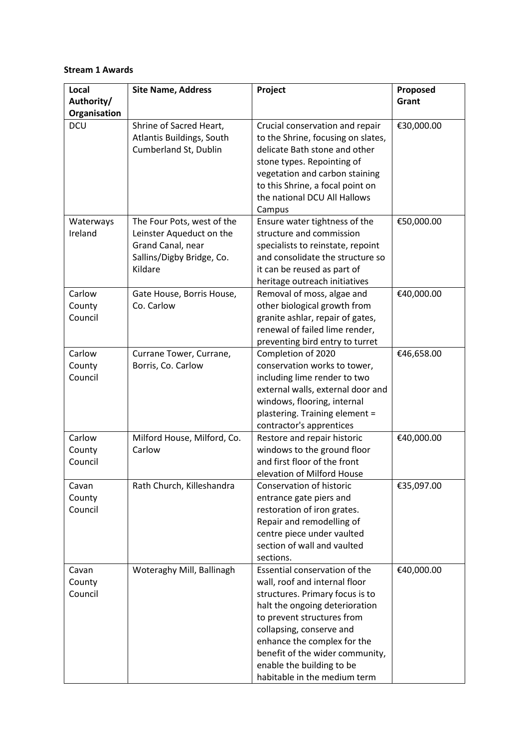## **Stream 1 Awards**

| <b>Site Name, Address</b> | Project                                                                                                                                                                                                                                                                               | Proposed                                                                                                                                                                                                                                                                                                                                                                                                                                                                                                                                                                                                                                                                                                                                                                                                                                                                                                                                                                                                                                                           |
|---------------------------|---------------------------------------------------------------------------------------------------------------------------------------------------------------------------------------------------------------------------------------------------------------------------------------|--------------------------------------------------------------------------------------------------------------------------------------------------------------------------------------------------------------------------------------------------------------------------------------------------------------------------------------------------------------------------------------------------------------------------------------------------------------------------------------------------------------------------------------------------------------------------------------------------------------------------------------------------------------------------------------------------------------------------------------------------------------------------------------------------------------------------------------------------------------------------------------------------------------------------------------------------------------------------------------------------------------------------------------------------------------------|
|                           |                                                                                                                                                                                                                                                                                       | Grant                                                                                                                                                                                                                                                                                                                                                                                                                                                                                                                                                                                                                                                                                                                                                                                                                                                                                                                                                                                                                                                              |
|                           |                                                                                                                                                                                                                                                                                       |                                                                                                                                                                                                                                                                                                                                                                                                                                                                                                                                                                                                                                                                                                                                                                                                                                                                                                                                                                                                                                                                    |
|                           | Crucial conservation and repair                                                                                                                                                                                                                                                       | €30,000.00                                                                                                                                                                                                                                                                                                                                                                                                                                                                                                                                                                                                                                                                                                                                                                                                                                                                                                                                                                                                                                                         |
|                           |                                                                                                                                                                                                                                                                                       |                                                                                                                                                                                                                                                                                                                                                                                                                                                                                                                                                                                                                                                                                                                                                                                                                                                                                                                                                                                                                                                                    |
|                           |                                                                                                                                                                                                                                                                                       |                                                                                                                                                                                                                                                                                                                                                                                                                                                                                                                                                                                                                                                                                                                                                                                                                                                                                                                                                                                                                                                                    |
|                           |                                                                                                                                                                                                                                                                                       |                                                                                                                                                                                                                                                                                                                                                                                                                                                                                                                                                                                                                                                                                                                                                                                                                                                                                                                                                                                                                                                                    |
|                           |                                                                                                                                                                                                                                                                                       |                                                                                                                                                                                                                                                                                                                                                                                                                                                                                                                                                                                                                                                                                                                                                                                                                                                                                                                                                                                                                                                                    |
|                           |                                                                                                                                                                                                                                                                                       |                                                                                                                                                                                                                                                                                                                                                                                                                                                                                                                                                                                                                                                                                                                                                                                                                                                                                                                                                                                                                                                                    |
|                           |                                                                                                                                                                                                                                                                                       |                                                                                                                                                                                                                                                                                                                                                                                                                                                                                                                                                                                                                                                                                                                                                                                                                                                                                                                                                                                                                                                                    |
|                           |                                                                                                                                                                                                                                                                                       | €50,000.00                                                                                                                                                                                                                                                                                                                                                                                                                                                                                                                                                                                                                                                                                                                                                                                                                                                                                                                                                                                                                                                         |
|                           |                                                                                                                                                                                                                                                                                       |                                                                                                                                                                                                                                                                                                                                                                                                                                                                                                                                                                                                                                                                                                                                                                                                                                                                                                                                                                                                                                                                    |
|                           |                                                                                                                                                                                                                                                                                       |                                                                                                                                                                                                                                                                                                                                                                                                                                                                                                                                                                                                                                                                                                                                                                                                                                                                                                                                                                                                                                                                    |
|                           |                                                                                                                                                                                                                                                                                       |                                                                                                                                                                                                                                                                                                                                                                                                                                                                                                                                                                                                                                                                                                                                                                                                                                                                                                                                                                                                                                                                    |
| Kildare                   |                                                                                                                                                                                                                                                                                       |                                                                                                                                                                                                                                                                                                                                                                                                                                                                                                                                                                                                                                                                                                                                                                                                                                                                                                                                                                                                                                                                    |
|                           | heritage outreach initiatives                                                                                                                                                                                                                                                         |                                                                                                                                                                                                                                                                                                                                                                                                                                                                                                                                                                                                                                                                                                                                                                                                                                                                                                                                                                                                                                                                    |
| Gate House, Borris House, | Removal of moss, algae and                                                                                                                                                                                                                                                            | €40,000.00                                                                                                                                                                                                                                                                                                                                                                                                                                                                                                                                                                                                                                                                                                                                                                                                                                                                                                                                                                                                                                                         |
| Co. Carlow                | other biological growth from                                                                                                                                                                                                                                                          |                                                                                                                                                                                                                                                                                                                                                                                                                                                                                                                                                                                                                                                                                                                                                                                                                                                                                                                                                                                                                                                                    |
|                           | granite ashlar, repair of gates,                                                                                                                                                                                                                                                      |                                                                                                                                                                                                                                                                                                                                                                                                                                                                                                                                                                                                                                                                                                                                                                                                                                                                                                                                                                                                                                                                    |
|                           | renewal of failed lime render,                                                                                                                                                                                                                                                        |                                                                                                                                                                                                                                                                                                                                                                                                                                                                                                                                                                                                                                                                                                                                                                                                                                                                                                                                                                                                                                                                    |
|                           | preventing bird entry to turret                                                                                                                                                                                                                                                       |                                                                                                                                                                                                                                                                                                                                                                                                                                                                                                                                                                                                                                                                                                                                                                                                                                                                                                                                                                                                                                                                    |
| Currane Tower, Currane,   | Completion of 2020                                                                                                                                                                                                                                                                    | €46,658.00                                                                                                                                                                                                                                                                                                                                                                                                                                                                                                                                                                                                                                                                                                                                                                                                                                                                                                                                                                                                                                                         |
|                           |                                                                                                                                                                                                                                                                                       |                                                                                                                                                                                                                                                                                                                                                                                                                                                                                                                                                                                                                                                                                                                                                                                                                                                                                                                                                                                                                                                                    |
|                           |                                                                                                                                                                                                                                                                                       |                                                                                                                                                                                                                                                                                                                                                                                                                                                                                                                                                                                                                                                                                                                                                                                                                                                                                                                                                                                                                                                                    |
|                           |                                                                                                                                                                                                                                                                                       |                                                                                                                                                                                                                                                                                                                                                                                                                                                                                                                                                                                                                                                                                                                                                                                                                                                                                                                                                                                                                                                                    |
|                           |                                                                                                                                                                                                                                                                                       |                                                                                                                                                                                                                                                                                                                                                                                                                                                                                                                                                                                                                                                                                                                                                                                                                                                                                                                                                                                                                                                                    |
|                           |                                                                                                                                                                                                                                                                                       |                                                                                                                                                                                                                                                                                                                                                                                                                                                                                                                                                                                                                                                                                                                                                                                                                                                                                                                                                                                                                                                                    |
|                           |                                                                                                                                                                                                                                                                                       |                                                                                                                                                                                                                                                                                                                                                                                                                                                                                                                                                                                                                                                                                                                                                                                                                                                                                                                                                                                                                                                                    |
|                           |                                                                                                                                                                                                                                                                                       | €40,000.00                                                                                                                                                                                                                                                                                                                                                                                                                                                                                                                                                                                                                                                                                                                                                                                                                                                                                                                                                                                                                                                         |
|                           |                                                                                                                                                                                                                                                                                       |                                                                                                                                                                                                                                                                                                                                                                                                                                                                                                                                                                                                                                                                                                                                                                                                                                                                                                                                                                                                                                                                    |
|                           |                                                                                                                                                                                                                                                                                       |                                                                                                                                                                                                                                                                                                                                                                                                                                                                                                                                                                                                                                                                                                                                                                                                                                                                                                                                                                                                                                                                    |
|                           |                                                                                                                                                                                                                                                                                       | €35,097.00                                                                                                                                                                                                                                                                                                                                                                                                                                                                                                                                                                                                                                                                                                                                                                                                                                                                                                                                                                                                                                                         |
|                           |                                                                                                                                                                                                                                                                                       |                                                                                                                                                                                                                                                                                                                                                                                                                                                                                                                                                                                                                                                                                                                                                                                                                                                                                                                                                                                                                                                                    |
|                           |                                                                                                                                                                                                                                                                                       |                                                                                                                                                                                                                                                                                                                                                                                                                                                                                                                                                                                                                                                                                                                                                                                                                                                                                                                                                                                                                                                                    |
|                           |                                                                                                                                                                                                                                                                                       |                                                                                                                                                                                                                                                                                                                                                                                                                                                                                                                                                                                                                                                                                                                                                                                                                                                                                                                                                                                                                                                                    |
|                           | centre piece under vaulted                                                                                                                                                                                                                                                            |                                                                                                                                                                                                                                                                                                                                                                                                                                                                                                                                                                                                                                                                                                                                                                                                                                                                                                                                                                                                                                                                    |
|                           | section of wall and vaulted                                                                                                                                                                                                                                                           |                                                                                                                                                                                                                                                                                                                                                                                                                                                                                                                                                                                                                                                                                                                                                                                                                                                                                                                                                                                                                                                                    |
|                           | sections.                                                                                                                                                                                                                                                                             |                                                                                                                                                                                                                                                                                                                                                                                                                                                                                                                                                                                                                                                                                                                                                                                                                                                                                                                                                                                                                                                                    |
| Woteraghy Mill, Ballinagh | Essential conservation of the                                                                                                                                                                                                                                                         | €40,000.00                                                                                                                                                                                                                                                                                                                                                                                                                                                                                                                                                                                                                                                                                                                                                                                                                                                                                                                                                                                                                                                         |
|                           | wall, roof and internal floor                                                                                                                                                                                                                                                         |                                                                                                                                                                                                                                                                                                                                                                                                                                                                                                                                                                                                                                                                                                                                                                                                                                                                                                                                                                                                                                                                    |
|                           | structures. Primary focus is to                                                                                                                                                                                                                                                       |                                                                                                                                                                                                                                                                                                                                                                                                                                                                                                                                                                                                                                                                                                                                                                                                                                                                                                                                                                                                                                                                    |
|                           |                                                                                                                                                                                                                                                                                       |                                                                                                                                                                                                                                                                                                                                                                                                                                                                                                                                                                                                                                                                                                                                                                                                                                                                                                                                                                                                                                                                    |
|                           |                                                                                                                                                                                                                                                                                       |                                                                                                                                                                                                                                                                                                                                                                                                                                                                                                                                                                                                                                                                                                                                                                                                                                                                                                                                                                                                                                                                    |
|                           |                                                                                                                                                                                                                                                                                       |                                                                                                                                                                                                                                                                                                                                                                                                                                                                                                                                                                                                                                                                                                                                                                                                                                                                                                                                                                                                                                                                    |
|                           |                                                                                                                                                                                                                                                                                       |                                                                                                                                                                                                                                                                                                                                                                                                                                                                                                                                                                                                                                                                                                                                                                                                                                                                                                                                                                                                                                                                    |
|                           |                                                                                                                                                                                                                                                                                       |                                                                                                                                                                                                                                                                                                                                                                                                                                                                                                                                                                                                                                                                                                                                                                                                                                                                                                                                                                                                                                                                    |
|                           |                                                                                                                                                                                                                                                                                       |                                                                                                                                                                                                                                                                                                                                                                                                                                                                                                                                                                                                                                                                                                                                                                                                                                                                                                                                                                                                                                                                    |
|                           | Shrine of Sacred Heart,<br>Atlantis Buildings, South<br>Cumberland St, Dublin<br>The Four Pots, west of the<br>Leinster Aqueduct on the<br>Grand Canal, near<br>Sallins/Digby Bridge, Co.<br>Borris, Co. Carlow<br>Milford House, Milford, Co.<br>Carlow<br>Rath Church, Killeshandra | to the Shrine, focusing on slates,<br>delicate Bath stone and other<br>stone types. Repointing of<br>vegetation and carbon staining<br>to this Shrine, a focal point on<br>the national DCU All Hallows<br>Campus<br>Ensure water tightness of the<br>structure and commission<br>specialists to reinstate, repoint<br>and consolidate the structure so<br>it can be reused as part of<br>conservation works to tower,<br>including lime render to two<br>external walls, external door and<br>windows, flooring, internal<br>plastering. Training element =<br>contractor's apprentices<br>Restore and repair historic<br>windows to the ground floor<br>and first floor of the front<br>elevation of Milford House<br>Conservation of historic<br>entrance gate piers and<br>restoration of iron grates.<br>Repair and remodelling of<br>halt the ongoing deterioration<br>to prevent structures from<br>collapsing, conserve and<br>enhance the complex for the<br>benefit of the wider community,<br>enable the building to be<br>habitable in the medium term |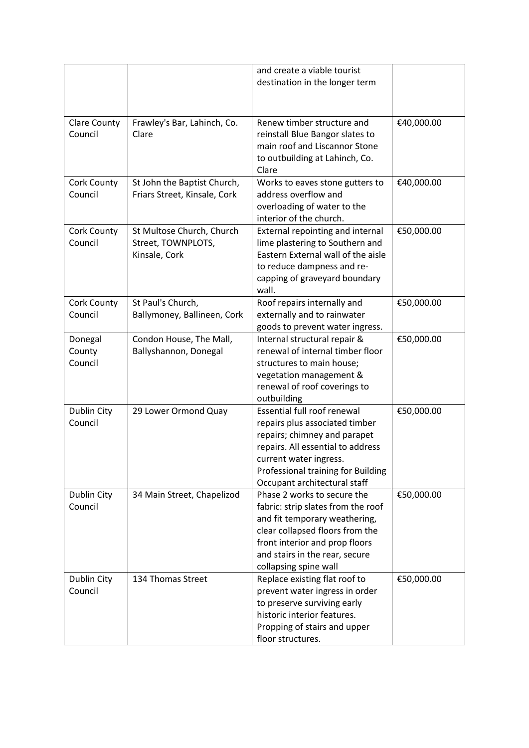|                                |                                                                  | and create a viable tourist<br>destination in the longer term                                                                                                                                                                             |            |
|--------------------------------|------------------------------------------------------------------|-------------------------------------------------------------------------------------------------------------------------------------------------------------------------------------------------------------------------------------------|------------|
|                                |                                                                  |                                                                                                                                                                                                                                           |            |
| <b>Clare County</b><br>Council | Frawley's Bar, Lahinch, Co.<br>Clare                             | Renew timber structure and<br>reinstall Blue Bangor slates to<br>main roof and Liscannor Stone<br>to outbuilding at Lahinch, Co.<br>Clare                                                                                                 | €40,000.00 |
| Cork County<br>Council         | St John the Baptist Church,<br>Friars Street, Kinsale, Cork      | Works to eaves stone gutters to<br>address overflow and<br>overloading of water to the<br>interior of the church.                                                                                                                         | €40,000.00 |
| Cork County<br>Council         | St Multose Church, Church<br>Street, TOWNPLOTS,<br>Kinsale, Cork | External repointing and internal<br>lime plastering to Southern and<br>Eastern External wall of the aisle<br>to reduce dampness and re-<br>capping of graveyard boundary<br>wall.                                                         | €50,000.00 |
| Cork County<br>Council         | St Paul's Church,<br>Ballymoney, Ballineen, Cork                 | Roof repairs internally and<br>externally and to rainwater<br>goods to prevent water ingress.                                                                                                                                             | €50,000.00 |
| Donegal<br>County<br>Council   | Condon House, The Mall,<br>Ballyshannon, Donegal                 | Internal structural repair &<br>renewal of internal timber floor<br>structures to main house;<br>vegetation management &<br>renewal of roof coverings to<br>outbuilding                                                                   | €50,000.00 |
| Dublin City<br>Council         | 29 Lower Ormond Quay                                             | <b>Essential full roof renewal</b><br>repairs plus associated timber<br>repairs; chimney and parapet<br>repairs. All essential to address<br>current water ingress.<br>Professional training for Building<br>Occupant architectural staff | €50,000.00 |
| Dublin City<br>Council         | 34 Main Street, Chapelizod                                       | Phase 2 works to secure the<br>fabric: strip slates from the roof<br>and fit temporary weathering,<br>clear collapsed floors from the<br>front interior and prop floors<br>and stairs in the rear, secure<br>collapsing spine wall        | €50,000.00 |
| Dublin City<br>Council         | 134 Thomas Street                                                | Replace existing flat roof to<br>prevent water ingress in order<br>to preserve surviving early<br>historic interior features.<br>Propping of stairs and upper<br>floor structures.                                                        | €50,000.00 |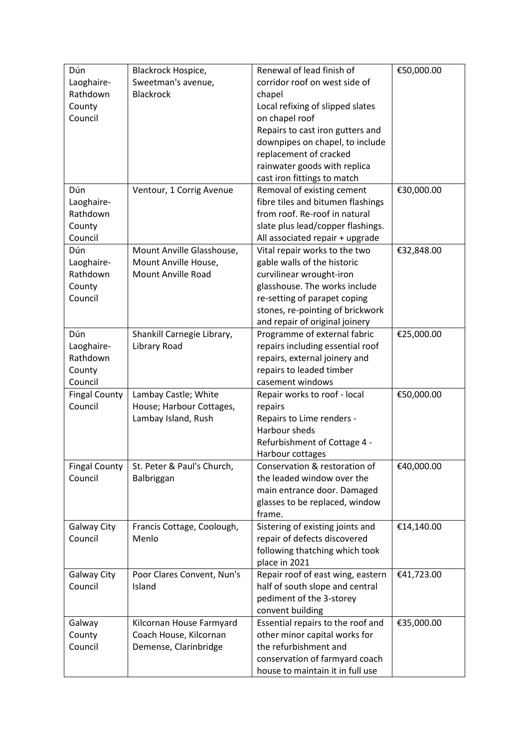| Sweetman's avenue,<br>corridor roof on west side of<br>Laoghaire-<br>Rathdown<br><b>Blackrock</b><br>chapel<br>County<br>Local refixing of slipped slates<br>Council<br>on chapel roof<br>Repairs to cast iron gutters and<br>downpipes on chapel, to include<br>replacement of cracked<br>rainwater goods with replica<br>cast iron fittings to match<br>Dún<br>€30,000.00<br>Ventour, 1 Corrig Avenue<br>Removal of existing cement<br>fibre tiles and bitumen flashings<br>Laoghaire-<br>from roof. Re-roof in natural<br>Rathdown<br>slate plus lead/copper flashings.<br>County<br>Council<br>All associated repair + upgrade<br>Dún<br>Mount Anville Glasshouse,<br>Vital repair works to the two<br>€32,848.00<br>gable walls of the historic<br>Laoghaire-<br>Mount Anville House,<br>Rathdown<br><b>Mount Anville Road</b><br>curvilinear wrought-iron<br>glasshouse. The works include<br>County<br>Council<br>re-setting of parapet coping<br>stones, re-pointing of brickwork<br>and repair of original joinery<br>Dún<br>Programme of external fabric<br>€25,000.00<br>Shankill Carnegie Library,<br>Laoghaire-<br>Library Road<br>repairs including essential roof<br>Rathdown<br>repairs, external joinery and<br>repairs to leaded timber<br>County<br>casement windows<br>Council<br><b>Fingal County</b><br>Lambay Castle; White<br>€50,000.00<br>Repair works to roof - local<br>Council<br>House; Harbour Cottages,<br>repairs<br>Lambay Island, Rush<br>Repairs to Lime renders -<br>Harbour sheds<br>Refurbishment of Cottage 4 -<br>Harbour cottages<br><b>Fingal County</b><br>St. Peter & Paul's Church,<br>Conservation & restoration of<br>€40,000.00<br>Council<br>the leaded window over the<br>Balbriggan<br>main entrance door. Damaged<br>glasses to be replaced, window<br>frame.<br>Galway City<br>Francis Cottage, Coolough,<br>Sistering of existing joints and<br>€14,140.00<br>repair of defects discovered<br>Council<br>Menlo<br>following thatching which took<br>place in 2021<br>Poor Clares Convent, Nun's<br>Repair roof of east wing, eastern<br>€41,723.00<br><b>Galway City</b><br>Council<br>half of south slope and central<br>Island<br>pediment of the 3-storey<br>convent building<br>€35,000.00<br>Essential repairs to the roof and<br>Galway<br>Kilcornan House Farmyard | Dún    | Blackrock Hospice,     | Renewal of lead finish of     | €50,000.00 |
|----------------------------------------------------------------------------------------------------------------------------------------------------------------------------------------------------------------------------------------------------------------------------------------------------------------------------------------------------------------------------------------------------------------------------------------------------------------------------------------------------------------------------------------------------------------------------------------------------------------------------------------------------------------------------------------------------------------------------------------------------------------------------------------------------------------------------------------------------------------------------------------------------------------------------------------------------------------------------------------------------------------------------------------------------------------------------------------------------------------------------------------------------------------------------------------------------------------------------------------------------------------------------------------------------------------------------------------------------------------------------------------------------------------------------------------------------------------------------------------------------------------------------------------------------------------------------------------------------------------------------------------------------------------------------------------------------------------------------------------------------------------------------------------------------------------------------------------------------------------------------------------------------------------------------------------------------------------------------------------------------------------------------------------------------------------------------------------------------------------------------------------------------------------------------------------------------------------------------------------------------------------------------------------------------------------------------------|--------|------------------------|-------------------------------|------------|
|                                                                                                                                                                                                                                                                                                                                                                                                                                                                                                                                                                                                                                                                                                                                                                                                                                                                                                                                                                                                                                                                                                                                                                                                                                                                                                                                                                                                                                                                                                                                                                                                                                                                                                                                                                                                                                                                                                                                                                                                                                                                                                                                                                                                                                                                                                                                  |        |                        |                               |            |
|                                                                                                                                                                                                                                                                                                                                                                                                                                                                                                                                                                                                                                                                                                                                                                                                                                                                                                                                                                                                                                                                                                                                                                                                                                                                                                                                                                                                                                                                                                                                                                                                                                                                                                                                                                                                                                                                                                                                                                                                                                                                                                                                                                                                                                                                                                                                  |        |                        |                               |            |
|                                                                                                                                                                                                                                                                                                                                                                                                                                                                                                                                                                                                                                                                                                                                                                                                                                                                                                                                                                                                                                                                                                                                                                                                                                                                                                                                                                                                                                                                                                                                                                                                                                                                                                                                                                                                                                                                                                                                                                                                                                                                                                                                                                                                                                                                                                                                  |        |                        |                               |            |
|                                                                                                                                                                                                                                                                                                                                                                                                                                                                                                                                                                                                                                                                                                                                                                                                                                                                                                                                                                                                                                                                                                                                                                                                                                                                                                                                                                                                                                                                                                                                                                                                                                                                                                                                                                                                                                                                                                                                                                                                                                                                                                                                                                                                                                                                                                                                  |        |                        |                               |            |
|                                                                                                                                                                                                                                                                                                                                                                                                                                                                                                                                                                                                                                                                                                                                                                                                                                                                                                                                                                                                                                                                                                                                                                                                                                                                                                                                                                                                                                                                                                                                                                                                                                                                                                                                                                                                                                                                                                                                                                                                                                                                                                                                                                                                                                                                                                                                  |        |                        |                               |            |
|                                                                                                                                                                                                                                                                                                                                                                                                                                                                                                                                                                                                                                                                                                                                                                                                                                                                                                                                                                                                                                                                                                                                                                                                                                                                                                                                                                                                                                                                                                                                                                                                                                                                                                                                                                                                                                                                                                                                                                                                                                                                                                                                                                                                                                                                                                                                  |        |                        |                               |            |
|                                                                                                                                                                                                                                                                                                                                                                                                                                                                                                                                                                                                                                                                                                                                                                                                                                                                                                                                                                                                                                                                                                                                                                                                                                                                                                                                                                                                                                                                                                                                                                                                                                                                                                                                                                                                                                                                                                                                                                                                                                                                                                                                                                                                                                                                                                                                  |        |                        |                               |            |
|                                                                                                                                                                                                                                                                                                                                                                                                                                                                                                                                                                                                                                                                                                                                                                                                                                                                                                                                                                                                                                                                                                                                                                                                                                                                                                                                                                                                                                                                                                                                                                                                                                                                                                                                                                                                                                                                                                                                                                                                                                                                                                                                                                                                                                                                                                                                  |        |                        |                               |            |
|                                                                                                                                                                                                                                                                                                                                                                                                                                                                                                                                                                                                                                                                                                                                                                                                                                                                                                                                                                                                                                                                                                                                                                                                                                                                                                                                                                                                                                                                                                                                                                                                                                                                                                                                                                                                                                                                                                                                                                                                                                                                                                                                                                                                                                                                                                                                  |        |                        |                               |            |
|                                                                                                                                                                                                                                                                                                                                                                                                                                                                                                                                                                                                                                                                                                                                                                                                                                                                                                                                                                                                                                                                                                                                                                                                                                                                                                                                                                                                                                                                                                                                                                                                                                                                                                                                                                                                                                                                                                                                                                                                                                                                                                                                                                                                                                                                                                                                  |        |                        |                               |            |
|                                                                                                                                                                                                                                                                                                                                                                                                                                                                                                                                                                                                                                                                                                                                                                                                                                                                                                                                                                                                                                                                                                                                                                                                                                                                                                                                                                                                                                                                                                                                                                                                                                                                                                                                                                                                                                                                                                                                                                                                                                                                                                                                                                                                                                                                                                                                  |        |                        |                               |            |
|                                                                                                                                                                                                                                                                                                                                                                                                                                                                                                                                                                                                                                                                                                                                                                                                                                                                                                                                                                                                                                                                                                                                                                                                                                                                                                                                                                                                                                                                                                                                                                                                                                                                                                                                                                                                                                                                                                                                                                                                                                                                                                                                                                                                                                                                                                                                  |        |                        |                               |            |
|                                                                                                                                                                                                                                                                                                                                                                                                                                                                                                                                                                                                                                                                                                                                                                                                                                                                                                                                                                                                                                                                                                                                                                                                                                                                                                                                                                                                                                                                                                                                                                                                                                                                                                                                                                                                                                                                                                                                                                                                                                                                                                                                                                                                                                                                                                                                  |        |                        |                               |            |
|                                                                                                                                                                                                                                                                                                                                                                                                                                                                                                                                                                                                                                                                                                                                                                                                                                                                                                                                                                                                                                                                                                                                                                                                                                                                                                                                                                                                                                                                                                                                                                                                                                                                                                                                                                                                                                                                                                                                                                                                                                                                                                                                                                                                                                                                                                                                  |        |                        |                               |            |
|                                                                                                                                                                                                                                                                                                                                                                                                                                                                                                                                                                                                                                                                                                                                                                                                                                                                                                                                                                                                                                                                                                                                                                                                                                                                                                                                                                                                                                                                                                                                                                                                                                                                                                                                                                                                                                                                                                                                                                                                                                                                                                                                                                                                                                                                                                                                  |        |                        |                               |            |
|                                                                                                                                                                                                                                                                                                                                                                                                                                                                                                                                                                                                                                                                                                                                                                                                                                                                                                                                                                                                                                                                                                                                                                                                                                                                                                                                                                                                                                                                                                                                                                                                                                                                                                                                                                                                                                                                                                                                                                                                                                                                                                                                                                                                                                                                                                                                  |        |                        |                               |            |
|                                                                                                                                                                                                                                                                                                                                                                                                                                                                                                                                                                                                                                                                                                                                                                                                                                                                                                                                                                                                                                                                                                                                                                                                                                                                                                                                                                                                                                                                                                                                                                                                                                                                                                                                                                                                                                                                                                                                                                                                                                                                                                                                                                                                                                                                                                                                  |        |                        |                               |            |
|                                                                                                                                                                                                                                                                                                                                                                                                                                                                                                                                                                                                                                                                                                                                                                                                                                                                                                                                                                                                                                                                                                                                                                                                                                                                                                                                                                                                                                                                                                                                                                                                                                                                                                                                                                                                                                                                                                                                                                                                                                                                                                                                                                                                                                                                                                                                  |        |                        |                               |            |
|                                                                                                                                                                                                                                                                                                                                                                                                                                                                                                                                                                                                                                                                                                                                                                                                                                                                                                                                                                                                                                                                                                                                                                                                                                                                                                                                                                                                                                                                                                                                                                                                                                                                                                                                                                                                                                                                                                                                                                                                                                                                                                                                                                                                                                                                                                                                  |        |                        |                               |            |
|                                                                                                                                                                                                                                                                                                                                                                                                                                                                                                                                                                                                                                                                                                                                                                                                                                                                                                                                                                                                                                                                                                                                                                                                                                                                                                                                                                                                                                                                                                                                                                                                                                                                                                                                                                                                                                                                                                                                                                                                                                                                                                                                                                                                                                                                                                                                  |        |                        |                               |            |
|                                                                                                                                                                                                                                                                                                                                                                                                                                                                                                                                                                                                                                                                                                                                                                                                                                                                                                                                                                                                                                                                                                                                                                                                                                                                                                                                                                                                                                                                                                                                                                                                                                                                                                                                                                                                                                                                                                                                                                                                                                                                                                                                                                                                                                                                                                                                  |        |                        |                               |            |
|                                                                                                                                                                                                                                                                                                                                                                                                                                                                                                                                                                                                                                                                                                                                                                                                                                                                                                                                                                                                                                                                                                                                                                                                                                                                                                                                                                                                                                                                                                                                                                                                                                                                                                                                                                                                                                                                                                                                                                                                                                                                                                                                                                                                                                                                                                                                  |        |                        |                               |            |
|                                                                                                                                                                                                                                                                                                                                                                                                                                                                                                                                                                                                                                                                                                                                                                                                                                                                                                                                                                                                                                                                                                                                                                                                                                                                                                                                                                                                                                                                                                                                                                                                                                                                                                                                                                                                                                                                                                                                                                                                                                                                                                                                                                                                                                                                                                                                  |        |                        |                               |            |
|                                                                                                                                                                                                                                                                                                                                                                                                                                                                                                                                                                                                                                                                                                                                                                                                                                                                                                                                                                                                                                                                                                                                                                                                                                                                                                                                                                                                                                                                                                                                                                                                                                                                                                                                                                                                                                                                                                                                                                                                                                                                                                                                                                                                                                                                                                                                  |        |                        |                               |            |
|                                                                                                                                                                                                                                                                                                                                                                                                                                                                                                                                                                                                                                                                                                                                                                                                                                                                                                                                                                                                                                                                                                                                                                                                                                                                                                                                                                                                                                                                                                                                                                                                                                                                                                                                                                                                                                                                                                                                                                                                                                                                                                                                                                                                                                                                                                                                  |        |                        |                               |            |
|                                                                                                                                                                                                                                                                                                                                                                                                                                                                                                                                                                                                                                                                                                                                                                                                                                                                                                                                                                                                                                                                                                                                                                                                                                                                                                                                                                                                                                                                                                                                                                                                                                                                                                                                                                                                                                                                                                                                                                                                                                                                                                                                                                                                                                                                                                                                  |        |                        |                               |            |
|                                                                                                                                                                                                                                                                                                                                                                                                                                                                                                                                                                                                                                                                                                                                                                                                                                                                                                                                                                                                                                                                                                                                                                                                                                                                                                                                                                                                                                                                                                                                                                                                                                                                                                                                                                                                                                                                                                                                                                                                                                                                                                                                                                                                                                                                                                                                  |        |                        |                               |            |
|                                                                                                                                                                                                                                                                                                                                                                                                                                                                                                                                                                                                                                                                                                                                                                                                                                                                                                                                                                                                                                                                                                                                                                                                                                                                                                                                                                                                                                                                                                                                                                                                                                                                                                                                                                                                                                                                                                                                                                                                                                                                                                                                                                                                                                                                                                                                  |        |                        |                               |            |
|                                                                                                                                                                                                                                                                                                                                                                                                                                                                                                                                                                                                                                                                                                                                                                                                                                                                                                                                                                                                                                                                                                                                                                                                                                                                                                                                                                                                                                                                                                                                                                                                                                                                                                                                                                                                                                                                                                                                                                                                                                                                                                                                                                                                                                                                                                                                  |        |                        |                               |            |
|                                                                                                                                                                                                                                                                                                                                                                                                                                                                                                                                                                                                                                                                                                                                                                                                                                                                                                                                                                                                                                                                                                                                                                                                                                                                                                                                                                                                                                                                                                                                                                                                                                                                                                                                                                                                                                                                                                                                                                                                                                                                                                                                                                                                                                                                                                                                  |        |                        |                               |            |
|                                                                                                                                                                                                                                                                                                                                                                                                                                                                                                                                                                                                                                                                                                                                                                                                                                                                                                                                                                                                                                                                                                                                                                                                                                                                                                                                                                                                                                                                                                                                                                                                                                                                                                                                                                                                                                                                                                                                                                                                                                                                                                                                                                                                                                                                                                                                  |        |                        |                               |            |
|                                                                                                                                                                                                                                                                                                                                                                                                                                                                                                                                                                                                                                                                                                                                                                                                                                                                                                                                                                                                                                                                                                                                                                                                                                                                                                                                                                                                                                                                                                                                                                                                                                                                                                                                                                                                                                                                                                                                                                                                                                                                                                                                                                                                                                                                                                                                  |        |                        |                               |            |
|                                                                                                                                                                                                                                                                                                                                                                                                                                                                                                                                                                                                                                                                                                                                                                                                                                                                                                                                                                                                                                                                                                                                                                                                                                                                                                                                                                                                                                                                                                                                                                                                                                                                                                                                                                                                                                                                                                                                                                                                                                                                                                                                                                                                                                                                                                                                  |        |                        |                               |            |
|                                                                                                                                                                                                                                                                                                                                                                                                                                                                                                                                                                                                                                                                                                                                                                                                                                                                                                                                                                                                                                                                                                                                                                                                                                                                                                                                                                                                                                                                                                                                                                                                                                                                                                                                                                                                                                                                                                                                                                                                                                                                                                                                                                                                                                                                                                                                  |        |                        |                               |            |
|                                                                                                                                                                                                                                                                                                                                                                                                                                                                                                                                                                                                                                                                                                                                                                                                                                                                                                                                                                                                                                                                                                                                                                                                                                                                                                                                                                                                                                                                                                                                                                                                                                                                                                                                                                                                                                                                                                                                                                                                                                                                                                                                                                                                                                                                                                                                  |        |                        |                               |            |
|                                                                                                                                                                                                                                                                                                                                                                                                                                                                                                                                                                                                                                                                                                                                                                                                                                                                                                                                                                                                                                                                                                                                                                                                                                                                                                                                                                                                                                                                                                                                                                                                                                                                                                                                                                                                                                                                                                                                                                                                                                                                                                                                                                                                                                                                                                                                  |        |                        |                               |            |
|                                                                                                                                                                                                                                                                                                                                                                                                                                                                                                                                                                                                                                                                                                                                                                                                                                                                                                                                                                                                                                                                                                                                                                                                                                                                                                                                                                                                                                                                                                                                                                                                                                                                                                                                                                                                                                                                                                                                                                                                                                                                                                                                                                                                                                                                                                                                  |        |                        |                               |            |
|                                                                                                                                                                                                                                                                                                                                                                                                                                                                                                                                                                                                                                                                                                                                                                                                                                                                                                                                                                                                                                                                                                                                                                                                                                                                                                                                                                                                                                                                                                                                                                                                                                                                                                                                                                                                                                                                                                                                                                                                                                                                                                                                                                                                                                                                                                                                  |        |                        |                               |            |
|                                                                                                                                                                                                                                                                                                                                                                                                                                                                                                                                                                                                                                                                                                                                                                                                                                                                                                                                                                                                                                                                                                                                                                                                                                                                                                                                                                                                                                                                                                                                                                                                                                                                                                                                                                                                                                                                                                                                                                                                                                                                                                                                                                                                                                                                                                                                  |        |                        |                               |            |
|                                                                                                                                                                                                                                                                                                                                                                                                                                                                                                                                                                                                                                                                                                                                                                                                                                                                                                                                                                                                                                                                                                                                                                                                                                                                                                                                                                                                                                                                                                                                                                                                                                                                                                                                                                                                                                                                                                                                                                                                                                                                                                                                                                                                                                                                                                                                  |        |                        |                               |            |
|                                                                                                                                                                                                                                                                                                                                                                                                                                                                                                                                                                                                                                                                                                                                                                                                                                                                                                                                                                                                                                                                                                                                                                                                                                                                                                                                                                                                                                                                                                                                                                                                                                                                                                                                                                                                                                                                                                                                                                                                                                                                                                                                                                                                                                                                                                                                  |        |                        |                               |            |
|                                                                                                                                                                                                                                                                                                                                                                                                                                                                                                                                                                                                                                                                                                                                                                                                                                                                                                                                                                                                                                                                                                                                                                                                                                                                                                                                                                                                                                                                                                                                                                                                                                                                                                                                                                                                                                                                                                                                                                                                                                                                                                                                                                                                                                                                                                                                  |        |                        |                               |            |
|                                                                                                                                                                                                                                                                                                                                                                                                                                                                                                                                                                                                                                                                                                                                                                                                                                                                                                                                                                                                                                                                                                                                                                                                                                                                                                                                                                                                                                                                                                                                                                                                                                                                                                                                                                                                                                                                                                                                                                                                                                                                                                                                                                                                                                                                                                                                  |        |                        |                               |            |
|                                                                                                                                                                                                                                                                                                                                                                                                                                                                                                                                                                                                                                                                                                                                                                                                                                                                                                                                                                                                                                                                                                                                                                                                                                                                                                                                                                                                                                                                                                                                                                                                                                                                                                                                                                                                                                                                                                                                                                                                                                                                                                                                                                                                                                                                                                                                  |        |                        |                               |            |
|                                                                                                                                                                                                                                                                                                                                                                                                                                                                                                                                                                                                                                                                                                                                                                                                                                                                                                                                                                                                                                                                                                                                                                                                                                                                                                                                                                                                                                                                                                                                                                                                                                                                                                                                                                                                                                                                                                                                                                                                                                                                                                                                                                                                                                                                                                                                  |        |                        |                               |            |
|                                                                                                                                                                                                                                                                                                                                                                                                                                                                                                                                                                                                                                                                                                                                                                                                                                                                                                                                                                                                                                                                                                                                                                                                                                                                                                                                                                                                                                                                                                                                                                                                                                                                                                                                                                                                                                                                                                                                                                                                                                                                                                                                                                                                                                                                                                                                  | County | Coach House, Kilcornan | other minor capital works for |            |
| the refurbishment and<br>Council<br>Demense, Clarinbridge                                                                                                                                                                                                                                                                                                                                                                                                                                                                                                                                                                                                                                                                                                                                                                                                                                                                                                                                                                                                                                                                                                                                                                                                                                                                                                                                                                                                                                                                                                                                                                                                                                                                                                                                                                                                                                                                                                                                                                                                                                                                                                                                                                                                                                                                        |        |                        |                               |            |
| conservation of farmyard coach                                                                                                                                                                                                                                                                                                                                                                                                                                                                                                                                                                                                                                                                                                                                                                                                                                                                                                                                                                                                                                                                                                                                                                                                                                                                                                                                                                                                                                                                                                                                                                                                                                                                                                                                                                                                                                                                                                                                                                                                                                                                                                                                                                                                                                                                                                   |        |                        |                               |            |
| house to maintain it in full use                                                                                                                                                                                                                                                                                                                                                                                                                                                                                                                                                                                                                                                                                                                                                                                                                                                                                                                                                                                                                                                                                                                                                                                                                                                                                                                                                                                                                                                                                                                                                                                                                                                                                                                                                                                                                                                                                                                                                                                                                                                                                                                                                                                                                                                                                                 |        |                        |                               |            |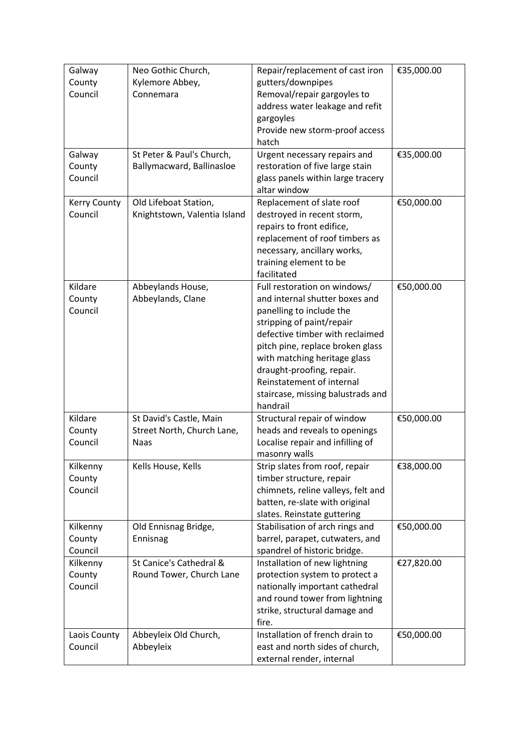| Galway              | Neo Gothic Church,           | Repair/replacement of cast iron    | €35,000.00 |
|---------------------|------------------------------|------------------------------------|------------|
| County              | Kylemore Abbey,              | gutters/downpipes                  |            |
| Council             | Connemara                    | Removal/repair gargoyles to        |            |
|                     |                              | address water leakage and refit    |            |
|                     |                              | gargoyles                          |            |
|                     |                              | Provide new storm-proof access     |            |
|                     |                              | hatch                              |            |
| Galway              | St Peter & Paul's Church,    | Urgent necessary repairs and       | €35,000.00 |
| County              | Ballymacward, Ballinasloe    | restoration of five large stain    |            |
| Council             |                              | glass panels within large tracery  |            |
|                     |                              | altar window                       |            |
| <b>Kerry County</b> | Old Lifeboat Station,        | Replacement of slate roof          | €50,000.00 |
| Council             | Knightstown, Valentia Island | destroyed in recent storm,         |            |
|                     |                              | repairs to front edifice,          |            |
|                     |                              | replacement of roof timbers as     |            |
|                     |                              | necessary, ancillary works,        |            |
|                     |                              | training element to be             |            |
|                     |                              | facilitated                        |            |
| Kildare             | Abbeylands House,            | Full restoration on windows/       | €50,000.00 |
| County              | Abbeylands, Clane            | and internal shutter boxes and     |            |
| Council             |                              | panelling to include the           |            |
|                     |                              | stripping of paint/repair          |            |
|                     |                              | defective timber with reclaimed    |            |
|                     |                              | pitch pine, replace broken glass   |            |
|                     |                              | with matching heritage glass       |            |
|                     |                              | draught-proofing, repair.          |            |
|                     |                              | Reinstatement of internal          |            |
|                     |                              | staircase, missing balustrads and  |            |
|                     |                              | handrail                           |            |
| Kildare             | St David's Castle, Main      | Structural repair of window        | €50,000.00 |
| County              | Street North, Church Lane,   | heads and reveals to openings      |            |
| Council             | <b>Naas</b>                  | Localise repair and infilling of   |            |
|                     |                              | masonry walls                      |            |
| Kilkenny            | Kells House, Kells           | Strip slates from roof, repair     | €38,000.00 |
| County              |                              | timber structure, repair           |            |
| Council             |                              | chimnets, reline valleys, felt and |            |
|                     |                              | batten, re-slate with original     |            |
|                     |                              | slates. Reinstate guttering        |            |
| Kilkenny            | Old Ennisnag Bridge,         | Stabilisation of arch rings and    | €50,000.00 |
| County              | Ennisnag                     | barrel, parapet, cutwaters, and    |            |
| Council             |                              | spandrel of historic bridge.       |            |
| Kilkenny            | St Canice's Cathedral &      | Installation of new lightning      | €27,820.00 |
| County              | Round Tower, Church Lane     | protection system to protect a     |            |
| Council             |                              | nationally important cathedral     |            |
|                     |                              | and round tower from lightning     |            |
|                     |                              | strike, structural damage and      |            |
|                     |                              | fire.                              |            |
| Laois County        | Abbeyleix Old Church,        | Installation of french drain to    | €50,000.00 |
| Council             | Abbeyleix                    | east and north sides of church,    |            |
|                     |                              | external render, internal          |            |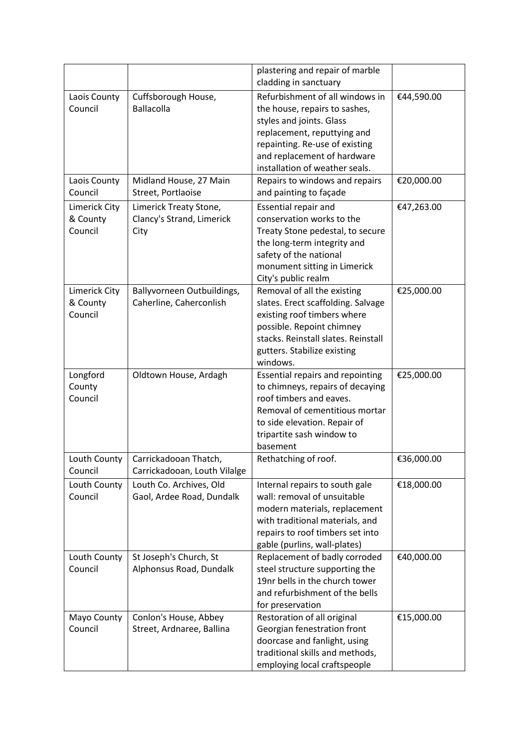|                                      |                                                             | plastering and repair of marble<br>cladding in sanctuary                                                                                                                                                                       |            |
|--------------------------------------|-------------------------------------------------------------|--------------------------------------------------------------------------------------------------------------------------------------------------------------------------------------------------------------------------------|------------|
| Laois County<br>Council              | Cuffsborough House,<br><b>Ballacolla</b>                    | Refurbishment of all windows in<br>the house, repairs to sashes,<br>styles and joints. Glass<br>replacement, reputtying and<br>repainting. Re-use of existing<br>and replacement of hardware<br>installation of weather seals. | €44,590.00 |
| Laois County<br>Council              | Midland House, 27 Main<br>Street, Portlaoise                | Repairs to windows and repairs<br>and painting to façade                                                                                                                                                                       | €20,000.00 |
| Limerick City<br>& County<br>Council | Limerick Treaty Stone,<br>Clancy's Strand, Limerick<br>City | <b>Essential repair and</b><br>conservation works to the<br>Treaty Stone pedestal, to secure<br>the long-term integrity and<br>safety of the national<br>monument sitting in Limerick<br>City's public realm                   | €47,263.00 |
| Limerick City<br>& County<br>Council | Ballyvorneen Outbuildings,<br>Caherline, Caherconlish       | Removal of all the existing<br>slates. Erect scaffolding. Salvage<br>existing roof timbers where<br>possible. Repoint chimney<br>stacks. Reinstall slates. Reinstall<br>gutters. Stabilize existing<br>windows.                | €25,000.00 |
| Longford<br>County<br>Council        | Oldtown House, Ardagh                                       | <b>Essential repairs and repointing</b><br>to chimneys, repairs of decaying<br>roof timbers and eaves.<br>Removal of cementitious mortar<br>to side elevation. Repair of<br>tripartite sash window to<br>basement              | €25,000.00 |
| Louth County<br>Council              | Carrickadooan Thatch,<br>Carrickadooan, Louth Vilalge       | Rethatching of roof.                                                                                                                                                                                                           | €36,000.00 |
| Louth County<br>Council              | Louth Co. Archives, Old<br>Gaol, Ardee Road, Dundalk        | Internal repairs to south gale<br>wall: removal of unsuitable<br>modern materials, replacement<br>with traditional materials, and<br>repairs to roof timbers set into<br>gable (purlins, wall-plates)                          | €18,000.00 |
| Louth County<br>Council              | St Joseph's Church, St<br>Alphonsus Road, Dundalk           | Replacement of badly corroded<br>steel structure supporting the<br>19nr bells in the church tower<br>and refurbishment of the bells<br>for preservation                                                                        | €40,000.00 |
| Mayo County<br>Council               | Conlon's House, Abbey<br>Street, Ardnaree, Ballina          | Restoration of all original<br>Georgian fenestration front<br>doorcase and fanlight, using<br>traditional skills and methods,<br>employing local craftspeople                                                                  | €15,000.00 |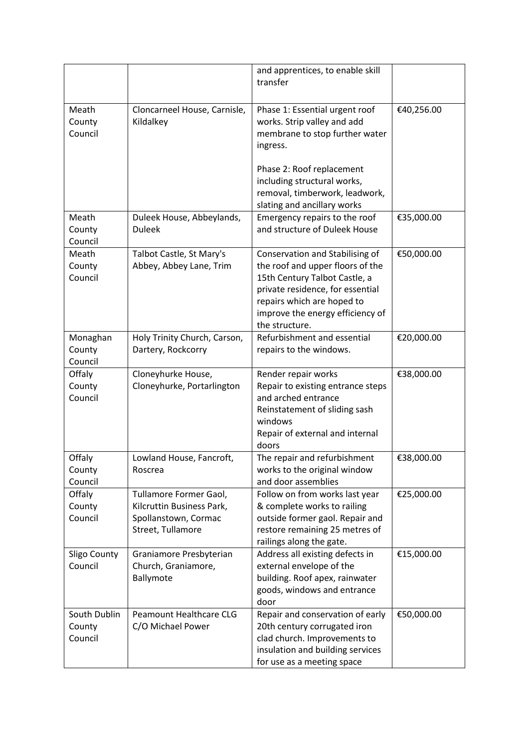|                                   |                                                                                                  | and apprentices, to enable skill<br>transfer                                                                                                                                                                                             |            |
|-----------------------------------|--------------------------------------------------------------------------------------------------|------------------------------------------------------------------------------------------------------------------------------------------------------------------------------------------------------------------------------------------|------------|
| Meath<br>County<br>Council        | Cloncarneel House, Carnisle,<br>Kildalkey                                                        | Phase 1: Essential urgent roof<br>works. Strip valley and add<br>membrane to stop further water<br>ingress.<br>Phase 2: Roof replacement<br>including structural works,<br>removal, timberwork, leadwork,<br>slating and ancillary works | €40,256.00 |
| Meath<br>County<br>Council        | Duleek House, Abbeylands,<br><b>Duleek</b>                                                       | Emergency repairs to the roof<br>and structure of Duleek House                                                                                                                                                                           | €35,000.00 |
| Meath<br>County<br>Council        | Talbot Castle, St Mary's<br>Abbey, Abbey Lane, Trim                                              | Conservation and Stabilising of<br>the roof and upper floors of the<br>15th Century Talbot Castle, a<br>private residence, for essential<br>repairs which are hoped to<br>improve the energy efficiency of<br>the structure.             | €50,000.00 |
| Monaghan<br>County<br>Council     | Holy Trinity Church, Carson,<br>Dartery, Rockcorry                                               | Refurbishment and essential<br>repairs to the windows.                                                                                                                                                                                   | €20,000.00 |
| Offaly<br>County<br>Council       | Cloneyhurke House,<br>Cloneyhurke, Portarlington                                                 | Render repair works<br>Repair to existing entrance steps<br>and arched entrance<br>Reinstatement of sliding sash<br>windows<br>Repair of external and internal<br>doors                                                                  | €38,000.00 |
| Offaly<br>County<br>Council       | Lowland House, Fancroft,<br>Roscrea                                                              | The repair and refurbishment<br>works to the original window<br>and door assemblies                                                                                                                                                      | €38,000.00 |
| Offaly<br>County<br>Council       | Tullamore Former Gaol,<br>Kilcruttin Business Park,<br>Spollanstown, Cormac<br>Street, Tullamore | Follow on from works last year<br>& complete works to railing<br>outside former gaol. Repair and<br>restore remaining 25 metres of<br>railings along the gate.                                                                           | €25,000.00 |
| Sligo County<br>Council           | Graniamore Presbyterian<br>Church, Graniamore,<br>Ballymote                                      | Address all existing defects in<br>external envelope of the<br>building. Roof apex, rainwater<br>goods, windows and entrance<br>door                                                                                                     | €15,000.00 |
| South Dublin<br>County<br>Council | Peamount Healthcare CLG<br>C/O Michael Power                                                     | Repair and conservation of early<br>20th century corrugated iron<br>clad church. Improvements to<br>insulation and building services<br>for use as a meeting space                                                                       | €50,000.00 |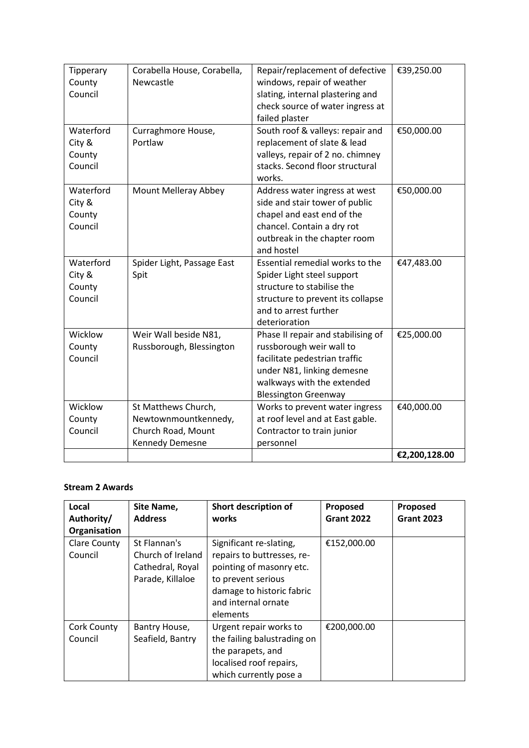| Tipperary | Corabella House, Corabella, | Repair/replacement of defective    | €39,250.00    |
|-----------|-----------------------------|------------------------------------|---------------|
| County    | Newcastle                   | windows, repair of weather         |               |
| Council   |                             | slating, internal plastering and   |               |
|           |                             | check source of water ingress at   |               |
|           |                             | failed plaster                     |               |
| Waterford | Curraghmore House,          | South roof & valleys: repair and   | €50,000.00    |
| City &    | Portlaw                     | replacement of slate & lead        |               |
| County    |                             | valleys, repair of 2 no. chimney   |               |
| Council   |                             | stacks. Second floor structural    |               |
|           |                             | works.                             |               |
| Waterford | Mount Melleray Abbey        | Address water ingress at west      | €50,000.00    |
| City &    |                             | side and stair tower of public     |               |
| County    |                             | chapel and east end of the         |               |
| Council   |                             | chancel. Contain a dry rot         |               |
|           |                             | outbreak in the chapter room       |               |
|           |                             | and hostel                         |               |
| Waterford | Spider Light, Passage East  | Essential remedial works to the    | €47,483.00    |
| City &    | Spit                        | Spider Light steel support         |               |
| County    |                             | structure to stabilise the         |               |
| Council   |                             | structure to prevent its collapse  |               |
|           |                             | and to arrest further              |               |
|           |                             | deterioration                      |               |
| Wicklow   | Weir Wall beside N81,       | Phase II repair and stabilising of | €25,000.00    |
| County    | Russborough, Blessington    | russborough weir wall to           |               |
| Council   |                             | facilitate pedestrian traffic      |               |
|           |                             | under N81, linking demesne         |               |
|           |                             | walkways with the extended         |               |
|           |                             | <b>Blessington Greenway</b>        |               |
| Wicklow   | St Matthews Church,         | Works to prevent water ingress     | €40,000.00    |
| County    | Newtownmountkennedy,        | at roof level and at East gable.   |               |
| Council   | Church Road, Mount          | Contractor to train junior         |               |
|           | Kennedy Demesne             | personnel                          |               |
|           |                             |                                    | €2,200,128.00 |

## **Stream 2 Awards**

| Local<br>Authority/            | Site Name,<br><b>Address</b>                                              | Short description of<br>works                                                                                                                                           | Proposed<br><b>Grant 2022</b> | Proposed<br><b>Grant 2023</b> |
|--------------------------------|---------------------------------------------------------------------------|-------------------------------------------------------------------------------------------------------------------------------------------------------------------------|-------------------------------|-------------------------------|
| Organisation                   |                                                                           |                                                                                                                                                                         |                               |                               |
| <b>Clare County</b><br>Council | St Flannan's<br>Church of Ireland<br>Cathedral, Royal<br>Parade, Killaloe | Significant re-slating,<br>repairs to buttresses, re-<br>pointing of masonry etc.<br>to prevent serious<br>damage to historic fabric<br>and internal ornate<br>elements | €152,000.00                   |                               |
| Cork County<br>Council         | Bantry House,<br>Seafield, Bantry                                         | Urgent repair works to<br>the failing balustrading on<br>the parapets, and<br>localised roof repairs,<br>which currently pose a                                         | €200,000.00                   |                               |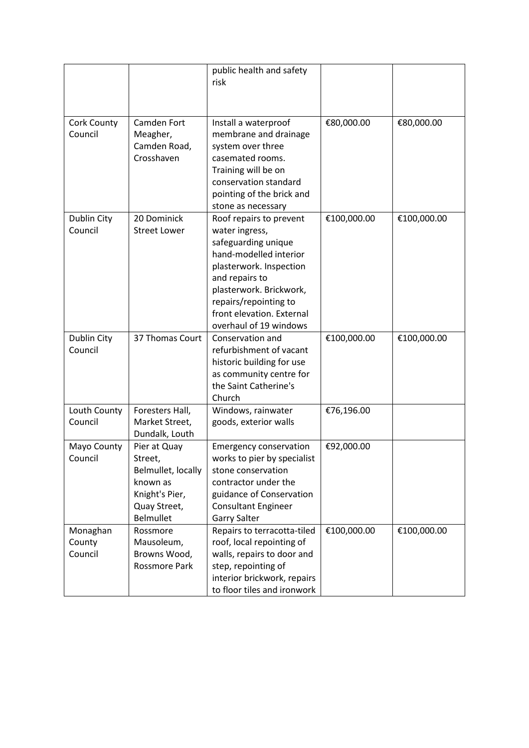|                               |                                                                                                          | public health and safety<br>risk                                                                                                                                                                                                                   |             |             |
|-------------------------------|----------------------------------------------------------------------------------------------------------|----------------------------------------------------------------------------------------------------------------------------------------------------------------------------------------------------------------------------------------------------|-------------|-------------|
| Cork County<br>Council        | Camden Fort<br>Meagher,<br>Camden Road,<br>Crosshaven                                                    | Install a waterproof<br>membrane and drainage<br>system over three<br>casemated rooms.<br>Training will be on<br>conservation standard<br>pointing of the brick and<br>stone as necessary                                                          | €80,000.00  | €80,000.00  |
| Dublin City<br>Council        | 20 Dominick<br><b>Street Lower</b>                                                                       | Roof repairs to prevent<br>water ingress,<br>safeguarding unique<br>hand-modelled interior<br>plasterwork. Inspection<br>and repairs to<br>plasterwork. Brickwork,<br>repairs/repointing to<br>front elevation. External<br>overhaul of 19 windows | €100,000.00 | €100,000.00 |
| Dublin City<br>Council        | 37 Thomas Court                                                                                          | Conservation and<br>refurbishment of vacant<br>historic building for use<br>as community centre for<br>the Saint Catherine's<br>Church                                                                                                             | €100,000.00 | €100,000.00 |
| Louth County<br>Council       | Foresters Hall,<br>Market Street,<br>Dundalk, Louth                                                      | Windows, rainwater<br>goods, exterior walls                                                                                                                                                                                                        | €76,196.00  |             |
| Mayo County<br>Council        | Pier at Quay<br>Street,<br>Belmullet, locally<br>known as<br>Knight's Pier,<br>Quay Street,<br>Belmullet | <b>Emergency conservation</b><br>works to pier by specialist<br>stone conservation<br>contractor under the<br>guidance of Conservation<br><b>Consultant Engineer</b><br><b>Garry Salter</b>                                                        | €92,000.00  |             |
| Monaghan<br>County<br>Council | Rossmore<br>Mausoleum,<br>Browns Wood,<br>Rossmore Park                                                  | Repairs to terracotta-tiled<br>roof, local repointing of<br>walls, repairs to door and<br>step, repointing of<br>interior brickwork, repairs<br>to floor tiles and ironwork                                                                        | €100,000.00 | €100,000.00 |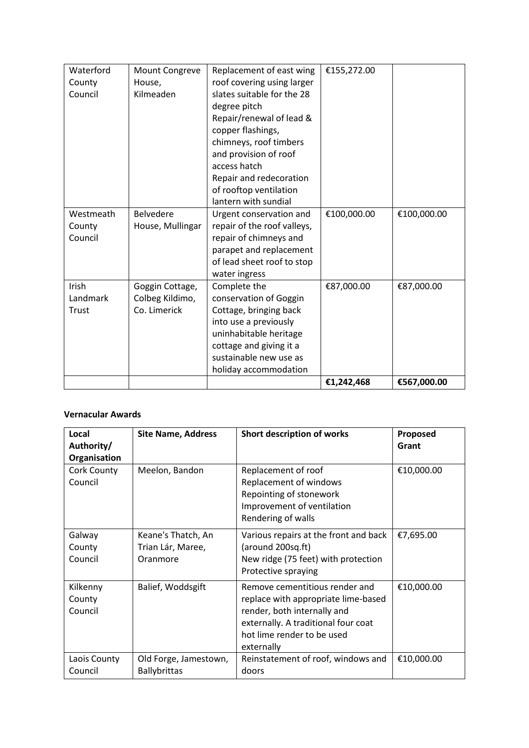| Waterford | Mount Congreve   | Replacement of east wing    | €155,272.00 |             |
|-----------|------------------|-----------------------------|-------------|-------------|
| County    | House,           | roof covering using larger  |             |             |
| Council   | Kilmeaden        | slates suitable for the 28  |             |             |
|           |                  | degree pitch                |             |             |
|           |                  | Repair/renewal of lead &    |             |             |
|           |                  | copper flashings,           |             |             |
|           |                  | chimneys, roof timbers      |             |             |
|           |                  | and provision of roof       |             |             |
|           |                  | access hatch                |             |             |
|           |                  | Repair and redecoration     |             |             |
|           |                  | of rooftop ventilation      |             |             |
|           |                  | lantern with sundial        |             |             |
| Westmeath | <b>Belvedere</b> | Urgent conservation and     | €100,000.00 | €100,000.00 |
| County    | House, Mullingar | repair of the roof valleys, |             |             |
| Council   |                  | repair of chimneys and      |             |             |
|           |                  | parapet and replacement     |             |             |
|           |                  | of lead sheet roof to stop  |             |             |
|           |                  | water ingress               |             |             |
| Irish     | Goggin Cottage,  | Complete the                | €87,000.00  | €87,000.00  |
| Landmark  | Colbeg Kildimo,  | conservation of Goggin      |             |             |
| Trust     | Co. Limerick     | Cottage, bringing back      |             |             |
|           |                  | into use a previously       |             |             |
|           |                  | uninhabitable heritage      |             |             |
|           |                  | cottage and giving it a     |             |             |
|           |                  | sustainable new use as      |             |             |
|           |                  | holiday accommodation       |             |             |
|           |                  |                             | €1,242,468  | €567,000.00 |

## **Vernacular Awards**

| Local<br>Authority/<br>Organisation | <b>Site Name, Address</b>                           | Short description of works                                                                                                                                                              | Proposed<br>Grant |
|-------------------------------------|-----------------------------------------------------|-----------------------------------------------------------------------------------------------------------------------------------------------------------------------------------------|-------------------|
| <b>Cork County</b><br>Council       | Meelon, Bandon                                      | Replacement of roof<br>Replacement of windows<br>Repointing of stonework<br>Improvement of ventilation<br>Rendering of walls                                                            | €10,000.00        |
| Galway<br>County<br>Council         | Keane's Thatch, An<br>Trian Lár, Maree,<br>Oranmore | Various repairs at the front and back<br>(around 200sq.ft)<br>New ridge (75 feet) with protection<br>Protective spraying                                                                | €7,695.00         |
| Kilkenny<br>County<br>Council       | Balief, Woddsgift                                   | Remove cementitious render and<br>replace with appropriate lime-based<br>render, both internally and<br>externally. A traditional four coat<br>hot lime render to be used<br>externally | €10,000.00        |
| Laois County<br>Council             | Old Forge, Jamestown,<br><b>Ballybrittas</b>        | Reinstatement of roof, windows and<br>doors                                                                                                                                             | €10,000.00        |